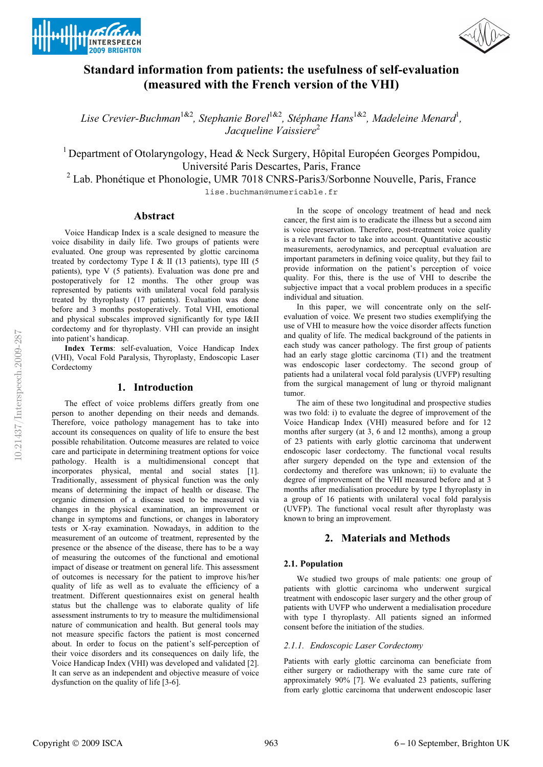



# **Standard information from patients: the usefulness of self-evaluation (measured with the French version of the VHI)**

*Lise Crevier-Buchman*1&2*, Stephanie Borel*1&2*, Stéphane Hans*1&2*, Madeleine Menard*<sup>1</sup> *, <i>Jacqueline Vaissiere*<sup>2</sup>

<sup>1</sup> Department of Otolaryngology, Head & Neck Surgery, Hôpital Européen Georges Pompidou, Université Paris Descartes, Paris, France

<sup>2</sup> Lab. Phonétique et Phonologie, UMR 7018 CNRS-Paris3/Sorbonne Nouvelle, Paris, France

lise.buchman@numericable.fr

### **Abstract**

Voice Handicap Index is a scale designed to measure the voice disability in daily life. Two groups of patients were evaluated. One group was represented by glottic carcinoma treated by cordectomy Type I & II (13 patients), type III (5 patients), type V (5 patients). Evaluation was done pre and postoperatively for 12 months. The other group was represented by patients with unilateral vocal fold paralysis treated by thyroplasty (17 patients). Evaluation was done before and 3 months postoperatively. Total VHI, emotional and physical subscales improved significantly for type I&II cordectomy and for thyroplasty. VHI can provide an insight into patient's handicap.

**Index Terms**: self-evaluation, Voice Handicap Index (VHI), Vocal Fold Paralysis, Thyroplasty, Endoscopic Laser Cordectomy

# **1. Introduction**

The effect of voice problems differs greatly from one person to another depending on their needs and demands. Therefore, voice pathology management has to take into account its consequences on quality of life to ensure the best possible rehabilitation. Outcome measures are related to voice care and participate in determining treatment options for voice pathology. Health is a multidimensional concept that incorporates physical, mental and social states [1]. Traditionally, assessment of physical function was the only means of determining the impact of health or disease. The organic dimension of a disease used to be measured via changes in the physical examination, an improvement or change in symptoms and functions, or changes in laboratory tests or X-ray examination. Nowadays, in addition to the measurement of an outcome of treatment, represented by the presence or the absence of the disease, there has to be a way of measuring the outcomes of the functional and emotional impact of disease or treatment on general life. This assessment of outcomes is necessary for the patient to improve his/her quality of life as well as to evaluate the efficiency of a treatment. Different questionnaires exist on general health status but the challenge was to elaborate quality of life assessment instruments to try to measure the multidimensional nature of communication and health. But general tools may not measure specific factors the patient is most concerned about. In order to focus on the patient's self-perception of their voice disorders and its consequences on daily life, the Voice Handicap Index (VHI) was developed and validated [2]. It can serve as an independent and objective measure of voice dysfunction on the quality of life [3-6].

In the scope of oncology treatment of head and neck cancer, the first aim is to eradicate the illness but a second aim is voice preservation. Therefore, post-treatment voice quality is a relevant factor to take into account. Quantitative acoustic measurements, aerodynamics, and perceptual evaluation are important parameters in defining voice quality, but they fail to provide information on the patient's perception of voice quality. For this, there is the use of VHI to describe the subjective impact that a vocal problem produces in a specific individual and situation.

In this paper, we will concentrate only on the selfevaluation of voice. We present two studies exemplifying the use of VHI to measure how the voice disorder affects function and quality of life. The medical background of the patients in each study was cancer pathology. The first group of patients had an early stage glottic carcinoma (T1) and the treatment was endoscopic laser cordectomy. The second group of patients had a unilateral vocal fold paralysis (UVFP) resulting from the surgical management of lung or thyroid malignant tumor.

The aim of these two longitudinal and prospective studies was two fold: i) to evaluate the degree of improvement of the Voice Handicap Index (VHI) measured before and for 12 months after surgery (at 3, 6 and 12 months), among a group of 23 patients with early glottic carcinoma that underwent endoscopic laser cordectomy. The functional vocal results after surgery depended on the type and extension of the cordectomy and therefore was unknown; ii) to evaluate the degree of improvement of the VHI measured before and at 3 months after medialisation procedure by type I thyroplasty in a group of 16 patients with unilateral vocal fold paralysis (UVFP). The functional vocal result after thyroplasty was known to bring an improvement.

# **2. Materials and Methods**

### **2.1. Population**

We studied two groups of male patients: one group of patients with glottic carcinoma who underwent surgical treatment with endoscopic laser surgery and the other group of patients with UVFP who underwent a medialisation procedure with type I thyroplasty. All patients signed an informed consent before the initiation of the studies.

### *2.1.1. Endoscopic Laser Cordectomy*

Patients with early glottic carcinoma can beneficiate from either surgery or radiotherapy with the same cure rate of approximately 90% [7]. We evaluated 23 patients, suffering from early glottic carcinoma that underwent endoscopic laser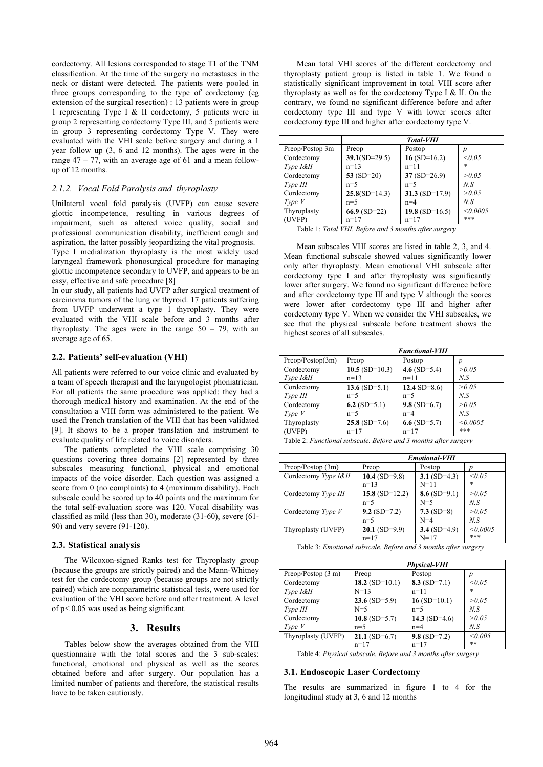cordectomy. All lesions corresponded to stage T1 of the TNM classification. At the time of the surgery no metastases in the neck or distant were detected. The patients were pooled in three groups corresponding to the type of cordectomy (eg extension of the surgical resection) : 13 patients were in group 1 representing Type I & II cordectomy, 5 patients were in group 2 representing cordectomy Type III, and 5 patients were in group 3 representing cordectomy Type V. They were evaluated with the VHI scale before surgery and during a 1 year follow up (3, 6 and 12 months). The ages were in the range 47 – 77, with an average age of 61 and a mean followup of 12 months.

### *2.1.2. Vocal Fold Paralysis and thyroplasty*

Unilateral vocal fold paralysis (UVFP) can cause severe glottic incompetence, resulting in various degrees of impairment, such as altered voice quality, social and professional communication disability, inefficient cough and aspiration, the latter possibly jeopardizing the vital prognosis.

Type I medialization thyroplasty is the most widely used laryngeal framework phonosurgical procedure for managing glottic incompetence secondary to UVFP, and appears to be an easy, effective and safe procedure [8]

In our study, all patients had UVFP after surgical treatment of carcinoma tumors of the lung or thyroid. 17 patients suffering from UVFP underwent a type 1 thyroplasty. They were evaluated with the VHI scale before and 3 months after thyroplasty. The ages were in the range  $50 - 79$ , with an average age of 65.

#### **2.2. Patients' self-evaluation (VHI)**

All patients were referred to our voice clinic and evaluated by a team of speech therapist and the laryngologist phoniatrician. For all patients the same procedure was applied: they had a thorough medical history and examination. At the end of the consultation a VHI form was administered to the patient. We used the French translation of the VHI that has been validated [9]. It shows to be a proper translation and instrument to evaluate quality of life related to voice disorders.

The patients completed the VHI scale comprising 30 questions covering three domains [2] represented by three subscales measuring functional, physical and emotional impacts of the voice disorder. Each question was assigned a score from 0 (no complaints) to 4 (maximum disability). Each subscale could be scored up to 40 points and the maximum for the total self-evaluation score was 120. Vocal disability was classified as mild (less than 30), moderate (31-60), severe (61- 90) and very severe (91-120).

#### **2.3. Statistical analysis**

The Wilcoxon-signed Ranks test for Thyroplasty group (because the groups are strictly paired) and the Mann-Whitney test for the cordectomy group (because groups are not strictly paired) which are nonparametric statistical tests, were used for evaluation of the VHI score before and after treatment. A level of p< 0.05 was used as being significant.

#### **3. Results**

Tables below show the averages obtained from the VHI questionnaire with the total scores and the 3 sub-scales: functional, emotional and physical as well as the scores obtained before and after surgery. Our population has a limited number of patients and therefore, the statistical results have to be taken cautiously.

Mean total VHI scores of the different cordectomy and thyroplasty patient group is listed in table 1. We found a statistically significant improvement in total VHI score after thyroplasty as well as for the cordectomy Type I & II. On the contrary, we found no significant difference before and after cordectomy type III and type V with lower scores after cordectomy type III and higher after cordectomy type V.

|                 | Total-VHI       |                    |          |
|-----------------|-----------------|--------------------|----------|
| Preop/Postop 3m | Preop           | Postop             | n        |
| Cordectomy      | $39.1(SD=29.5)$ | $16(SD=16.2)$      | < 0.05   |
| Type I&II       | $n=13$          | $n = 11$           | *        |
| Cordectomy      | 53 $(SD=20)$    | $37(SD=26.9)$      | > 0.05   |
| Type III        | $n=5$           | $n=5$              | N.S      |
| Cordectomy      | $25.8(SD=14.3)$ | 31.3 (SD= $17.9$ ) | > 0.05   |
| Type V          | $n=5$           | $n=4$              | N.S      |
| Thyroplasty     | $66.9$ (SD=22)  | 19.8 (SD=16.5)     | < 0.0005 |
| (UVFP)          | $n = 17$        | $n=17$             | ***      |

Table 1: *Total VHI. Before and 3 months after surgery*

Mean subscales VHI scores are listed in table 2, 3, and 4. Mean functional subscale showed values significantly lower only after thyroplasty. Mean emotional VHI subscale after cordectomy type I and after thyroplasty was significantly lower after surgery. We found no significant difference before and after cordectomy type III and type V although the scores were lower after cordectomy type III and higher after cordectomy type V. When we consider the VHI subscales, we see that the physical subscale before treatment shows the highest scores of all subscales.

|                  | <b>Functional-VHI</b> |                |          |
|------------------|-----------------------|----------------|----------|
| Preop/Postop(3m) | Preop                 | Postop         |          |
| Cordectomy       | $10.5$ (SD=10.3)      | 4.6 $(SD=5.4)$ | > 0.05   |
| Type I&II        | $n=13$                | $n=11$         | N.S      |
| Cordectomy       | $13.6$ (SD=5.1)       | 12.4 $SD=8.6$  | > 0.05   |
| Type III         | $n=5$                 | $n=5$          | N.S      |
| Cordectomy       | 6.2 $(SD=5.1)$        | $9.8$ (SD=6.7) | > 0.05   |
| Type V           | $n=5$                 | $n=4$          | N.S      |
| Thyroplasty      | $25.8$ (SD=7.6)       | $6.6$ (SD=5.7) | < 0.0005 |
| (UVFP)           | $n=17$                | $n=17$         | ***      |

Table 2: *Functional subscale. Before and 3 months after surgery* 

|                      | <b>Emotional-VHI</b> |                |          |
|----------------------|----------------------|----------------|----------|
| Preop/Postop(3m)     | Preop                | Postop         |          |
| Cordectomy Type I&II | 10.4 (SD=9.8)        | 3.1 $(SD=4.3)$ | < 0.05   |
|                      | $n=13$               | $N = 11$       | *        |
| Cordectomy Type III  | $15.8$ (SD=12.2)     | $8.6$ (SD=9.1) | > 0.05   |
|                      | $n=5$                | $N=5$          | N.S      |
| Cordectomy $Type V$  | $9.2$ (SD=7.2)       | $7.3$ (SD=8)   | > 0.05   |
|                      | $n=5$                | $N=4$          | N.S      |
| Thyroplasty (UVFP)   | $20.1$ (SD=9.9)      | 3.4 $(SD=4.9)$ | < 0.0005 |
|                      | $n=17$               | $N = 17$       | ***      |

Table 3: *Emotional subscale. Before and 3 months after surgery*

|                              | <b>Physical-VHI</b> |                 |         |
|------------------------------|---------------------|-----------------|---------|
| Preop/Postop $(3 \text{ m})$ | Preop               | Postop          |         |
| Cordectomy                   | 18.2 $(SD=10.1)$    | $8.3(SD=7.1)$   | < 0.05  |
| Type I&II                    | $N = 13$            | $n=11$          | $\ast$  |
| Cordectomy                   | $23.6$ (SD=5.9)     | $16(SD=10.1)$   | > 0.05  |
| Type III                     | $N=5$               | $n=5$           | N.S     |
| Cordectomy                   | 10.8 $(SD=5.7)$     | 14.3 $(SD=4.6)$ | > 0.05  |
| Type V                       | $n=5$               | $n=4$           | N.S     |
| Thyroplasty (UVFP)           | $21.1$ (SD=6.7)     | $9.8$ (SD=7.2)  | < 0.005 |
|                              | $n=17$              | $n=17$          | $***$   |

Table 4: *Physical subscale. Before and 3 months after surgery* 

#### **3.1. Endoscopic Laser Cordectomy**

The results are summarized in figure 1 to 4 for the longitudinal study at 3, 6 and 12 months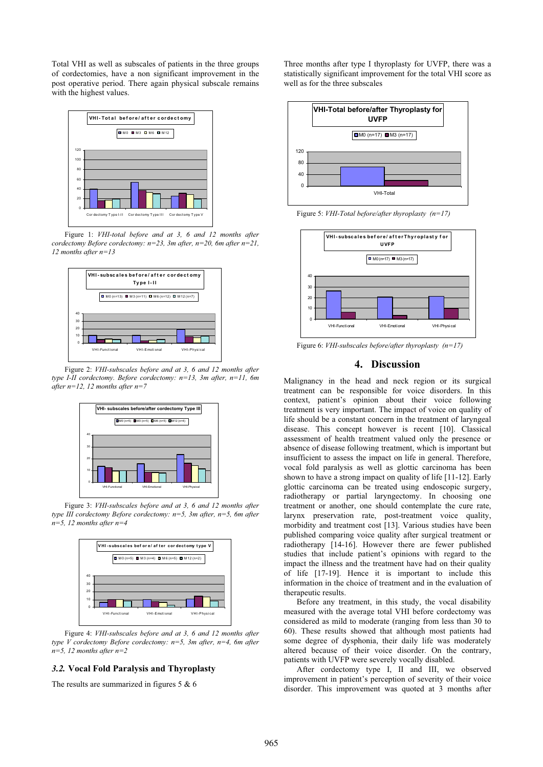Total VHI as well as subscales of patients in the three groups of cordectomies, have a non significant improvement in the post operative period. There again physical subscale remains with the highest values.



Figure 1: *VHI-total before and at 3, 6 and 12 months after cordectomy Before cordectomy: n=23, 3m after, n=20, 6m after n=21, 12 months after n=13*



Figure 2: *VHI-subscales before and at 3, 6 and 12 months after type I-II cordectomy. Before cordectomy: n=13, 3m after, n=11, 6m after n=12, 12 months after n=7*



Figure 3: *VHI-subscales before and at 3, 6 and 12 months after type III cordectomy Before cordectomy: n=5, 3m after, n=5, 6m after n=5, 12 months after n=4*



Figure 4: *VHI-subscales before and at 3, 6 and 12 months after type V cordectomy Before cordectomy: n=5, 3m after, n=4, 6m after n=5, 12 months after n=2*

#### *3.2.* **Vocal Fold Paralysis and Thyroplasty**

The results are summarized in figures 5 & 6

Three months after type I thyroplasty for UVFP, there was a statistically significant improvement for the total VHI score as well as for the three subscales



Figure 5: *VHI-Total before/after thyroplasty (n=17)*



Figure 6: *VHI-subscales before/after thyroplasty (n=17)*

# **4. Discussion**

Malignancy in the head and neck region or its surgical treatment can be responsible for voice disorders. In this context, patient's opinion about their voice following treatment is very important. The impact of voice on quality of life should be a constant concern in the treatment of laryngeal disease. This concept however is recent [10]. Classical assessment of health treatment valued only the presence or absence of disease following treatment, which is important but insufficient to assess the impact on life in general. Therefore, vocal fold paralysis as well as glottic carcinoma has been shown to have a strong impact on quality of life [11-12]. Early glottic carcinoma can be treated using endoscopic surgery, radiotherapy or partial laryngectomy. In choosing one treatment or another, one should contemplate the cure rate, larynx preservation rate, post-treatment voice quality, morbidity and treatment cost [13]. Various studies have been published comparing voice quality after surgical treatment or radiotherapy [14-16]. However there are fewer published studies that include patient's opinions with regard to the impact the illness and the treatment have had on their quality of life [17-19]. Hence it is important to include this information in the choice of treatment and in the evaluation of therapeutic results.

Before any treatment, in this study, the vocal disability measured with the average total VHI before cordectomy was considered as mild to moderate (ranging from less than 30 to 60). These results showed that although most patients had some degree of dysphonia, their daily life was moderately altered because of their voice disorder. On the contrary, patients with UVFP were severely vocally disabled.

After cordectomy type I, II and III, we observed improvement in patient's perception of severity of their voice disorder. This improvement was quoted at 3 months after